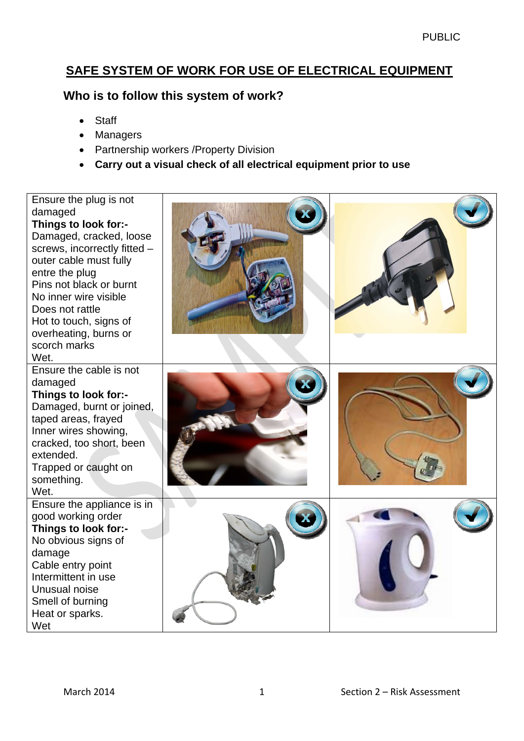# **SAFE SYSTEM OF WORK FOR USE OF ELECTRICAL EQUIPMENT**

### **Who is to follow this system of work?**

- Staff
- Managers
- Partnership workers / Property Division
- **Carry out a visual check of all electrical equipment prior to use**

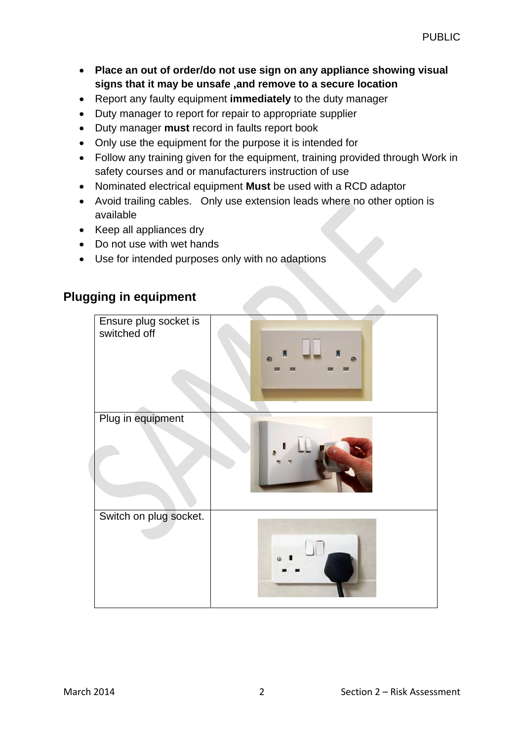- **Place an out of order/do not use sign on any appliance showing visual signs that it may be unsafe ,and remove to a secure location**
- Report any faulty equipment **immediately** to the duty manager
- Duty manager to report for repair to appropriate supplier
- Duty manager **must** record in faults report book
- Only use the equipment for the purpose it is intended for
- Follow any training given for the equipment, training provided through Work in safety courses and or manufacturers instruction of use
- Nominated electrical equipment **Must** be used with a RCD adaptor
- Avoid trailing cables. Only use extension leads where no other option is available
- Keep all appliances dry
- Do not use with wet hands
- Use for intended purposes only with no adaptions

## **Plugging in equipment**